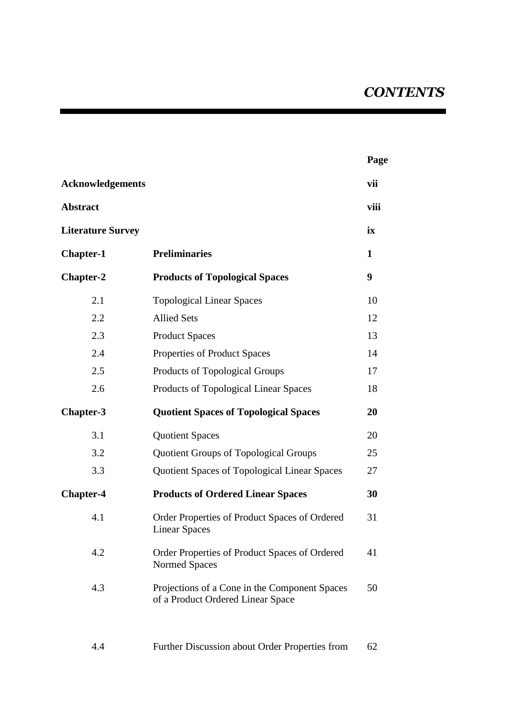|                          |                                                                                    | Page |
|--------------------------|------------------------------------------------------------------------------------|------|
| <b>Acknowledgements</b>  |                                                                                    | vii  |
| <b>Abstract</b>          |                                                                                    | viii |
| <b>Literature Survey</b> |                                                                                    | ix   |
| <b>Chapter-1</b>         | <b>Preliminaries</b>                                                               | 1    |
| <b>Chapter-2</b>         | <b>Products of Topological Spaces</b>                                              | 9    |
| 2.1                      | <b>Topological Linear Spaces</b>                                                   | 10   |
| 2.2                      | <b>Allied Sets</b>                                                                 | 12   |
| 2.3                      | <b>Product Spaces</b>                                                              | 13   |
| 2.4                      | Properties of Product Spaces                                                       | 14   |
| 2.5                      | Products of Topological Groups                                                     | 17   |
| 2.6                      | Products of Topological Linear Spaces                                              | 18   |
| Chapter-3                | <b>Quotient Spaces of Topological Spaces</b>                                       | 20   |
| 3.1                      | <b>Quotient Spaces</b>                                                             | 20   |
| 3.2                      | <b>Quotient Groups of Topological Groups</b>                                       | 25   |
| 3.3                      | <b>Quotient Spaces of Topological Linear Spaces</b>                                | 27   |
| <b>Chapter-4</b>         | <b>Products of Ordered Linear Spaces</b>                                           | 30   |
| 4.1                      | Order Properties of Product Spaces of Ordered<br><b>Linear Spaces</b>              | 31   |
| 4.2                      | Order Properties of Product Spaces of Ordered<br>Normed Spaces                     | 41   |
| 4.3                      | Projections of a Cone in the Component Spaces<br>of a Product Ordered Linear Space | 50   |
|                          |                                                                                    |      |

## 4.4 Further Discussion about Order Properties from 62